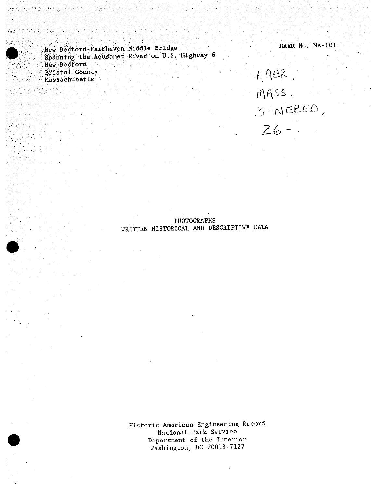New Bedford-Fairhaven Middle Bridge HAER No. MA-101 Spanning the Acushnet River on U.S. Highway 6 New Bedford Bristol County  $H \cap \in \mathbb{R}$ . Massachusetts

 $MASS$ ,  $3 -$  NEBED *Z(o*

# PHOTOGRAPHS WRITTEN HISTORICAL AND DESCRIPTIVE DATA

Historic American Engineering Record National Park Service Department of the Interior Washington, DC 20013-7127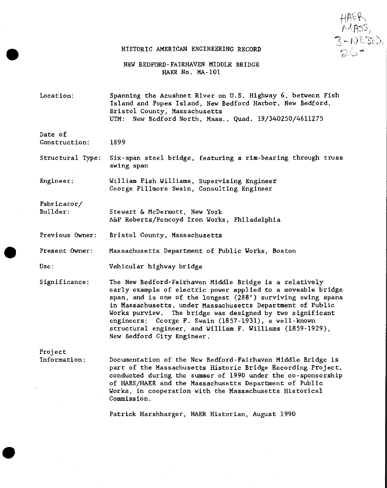$\sum_{i=1}^N$ *M*

#### HISTORIC AMERICAN ENGINEERING RECORD

NEW BEDFORD-FAIRHAVEN MIDDLE BRIDGE HAER No. MA-101

Location: Spanning the Acushnet River on U.S. Highway 6, between Fish Island and Popes Island, New Bedford Harbor, New Bedford, Bristol County, Massachusetts UTM: New Bedford North, Mass., Quad. 19/340250/4611275

# Date of

Construction: 1899

Structural Type: Six-span steel bridge, featuring a rim-bearing through truss swing span

Engineer: William Fish Williams, Supervising Engineer George Fillmore Swain, Consulting Engineer

Fabricator/

Builder: Stewart & McDermott, New York A&P Roberts/Pencoyd Iron Works, Philadelphia

Previous Owner: Bristol County, Massachusetts

Present Owner: Massachusetts Department of Public Works, Boston

Use:

Vehicular highway bridge

Significance: The New Bedford-Fairhaven Middle Bridge is a relatively early example of electric power applied to a moveable bridge span, and is one of the longest (288') surviving swing spans in Massachusetts, under Massachusetts Department of Public Works purview. The bridge was designed by two significant engineers: George F. Swain (1857-1931), a well-known structural engineer, and William F. Williams (1859-1929), New Bedford City Engineer.

Project Information:

Documentation of the New Bedford-Fairhaven Middle Bridge is part of the Massachusetts Historic Bridge Recording Project, conducted during the summer of 1990 under the co-sponsorship of HABS/HAER and the Massachusetts Department of Public Works, in cooperation with the Massachusetts Historical Commission.

Patrick Harshbarger, HAER Historian, August 1990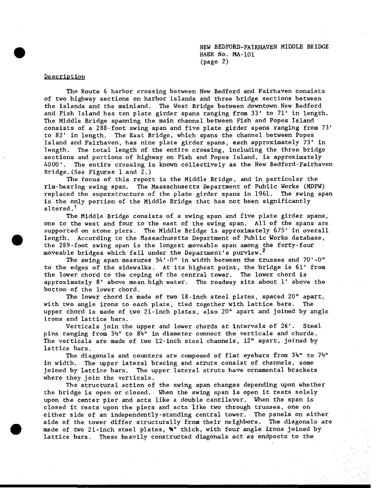# **Description**

The Route 6 harbor crossing between New Bedford and Fairhaven consists of two highway sections on harbor islands and three bridge sections between the islands and the mainland. The West Bridge between downtown New Bedford and Fish Island has ten plate girder spans ranging from 33' to 71' in length. The Middle Bridge spanning the main channel between Fish and Popes Island consists of a 288-foot swing span and five plate girder spans ranging from 73' to 82' in length. The East Bridge, which spans the channel between Popes Island and Fairhaven, has nine plate girder spans, each approximately 73' in length. The total length of the entire crossing, including the three bridge sections and portions of highway on Fish and Popes Island, is approximately 4000'. The entire crossing is known collectively as the New Bedford-Fairhaven Bridge. (See Figures 1 and  $2.$ )

The focus of this report is the Middle Bridge, and in particular the rim-bearing swing span. The Massachusetts Department of Public Works (MDPW) replaced the superstructure of the plate girder spans in 1961. The swing span is the only portion of the Middle Bridge that has not been significantly altered.<sup>1</sup>

The Middle Bridge consists of a swing span and five plate girder spans, one to the west and four to the east of the swing span. All of the spans are supported on stone piers. The Middle Bridge is approximately 675' in overall length. According to the Massachusetts Department of Public Works database, the 289-foot swing span is the longest moveable span among the forty-four moveable bridges which fall under the Department's purview.<sup>2</sup>

The swing span measures  $54'-0''$  in width between the trusses and  $70'-0''$ to the edges of the sidewalks. At its highest point, the bridge is 61' from the lower chord to the coping of the central tower. The lower chord is approximately 8' above mean high water. The roadway sits about 1' above the bottom of the lower chord.

The lower chord is made of two 18-inch steel plates, spaced 20" apart, with two angle irons to each plate, tied together with lattice bars. The upper chord is made of two 21-inch plates, also 20" apart and joined by angle irons and lattice bars.

Verticals join the upper and lower chords at intervals of 26'. Steel pins ranging from 34" to 8k" in diameter connect the verticals and chords. The verticals are made of two 12-inch steel channels, 12" apart, joined by lattice bars.

The diagonals and counters are composed of flat eyebars from *3k"* to *lh<sup>n</sup>* in width. The upper lateral bracing and struts consist of channels, some joined by lattice bars. The upper lateral struts have ornamental brackets where they join the verticals.

The structural action of the swing span changes depending upon whether the bridge is open or closed. When the swing span is open it rests solely upon the center pier and acts like a double cantilever. When the span is closed it rests upon the piers and acts like two through trusses, one on either side of an independently-standing central tower. The panels on either side of the tower differ structurally from their neighbors. The diagonals are made of two 21-inch steel plates, %" thick, with four angle irons joined by lattice bars. These heavily constructed diagonals act as endposts to the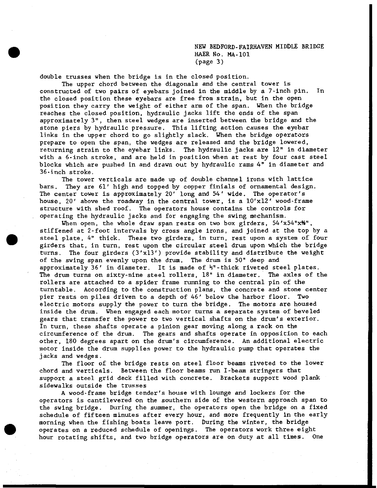NEW BEDFORD-FAIRHAVEN MIDDLE BRIDGE HAER No. MA-101 (page 3)

double trusses when the bridge is in the closed position.

The upper chord between the diagonals and the central tower is constructed of two pairs of eyebars joined in the middle by a 7-inch pin. In the closed position these eyebars are free from strain, but in the open position they carry the weight of either arm of the span. When the bridge reaches the closed position, hydraulic jacks lift the ends of the span approximately 3", then steel wedges are inserted between the bridge and the stone piers by hydraulic pressure. This lifting action causes the eyebar links in the upper chord to go slightly slack. When the bridge operators prepare to open the span, the wedges are released and the bridge lowered, returning strain to the eyebar links. The hydraulic jacks are 12" in diameter with a 6-inch stroke, and are held in position when at rest by four cast steel blocks which are pushed in and drawn out by hydraulic rams 4" in diameter and 36-inch stroke.

The tower verticals are made up of double channel irons with lattice bars. They are 61' high and topped by copper finials of ornamental design. The center tower is approximately 20' long and 54' wide. The operator's house, 20' above the roadway in the central tower, is a  $10'x12'$  wood-frame structure with shed roof. The operators house contains the controls for operating the hydraulic jacks and for engaging the swing mechanism.

When open, the whole draw span rests on two box girders,  $54'x54''x'''$ , stiffened at 2-foot intervals by cross angle irons, and joined at the top by a steel plate, 4" thick. These two girders, in turn, rest upon a system of four girders that, in turn, rest upon the circular steel drum upon which the bridge turns. The four girders (3'xl3') provide stability and distribute the weight of the swing span evenly upon the drum. The drum is 50" deep and approximately 36' in diameter. It is made of *H" -* thick riveted steel plates. The drum turns on sixty-nine steel rollers, 18" in diameter. The axles of the rollers are attached to a spider frame running to the central pin of the turntable. According to the construction plans, the concrete and stone center pier rests on piles driven to a depth of 46' below the harbor floor. Two electric motors supply the power to turn the bridge. The motors are housed inside the drum. When engaged each motor turns a separate system of beveled gears that transfer the power to two vertical shafts on the drum's exterior. In turn, these shafts operate a pinion gear moving along a rack on the circumference of the drum. The gears and shafts operate in opposition to each other, 180 degrees apart on the drum's circumference. An additional electric motor inside the drum supplies power to the hydraulic pump that operates the jacks and wedges.

The floor of the bridge rests on steel floor beams riveted to the lower chord and verticals. Between the floor beams run I-beam stringers that support a steel grid deck filled with concrete. Brackets support wood plank sidewalks outside the trusses

A wood-frame bridge tender's house with lounge and lockers for the operators is cantilevered on the southern side of the western approach span to the swing bridge. During the summer, the operators open the bridge on a fixed schedule of fifteen minutes after every hour, and more frequently in the early morning when the fishing boats leave port. During the winter, the bridge operates on a reduced schedule of openings. The operators work three eight hour rotating shifts, and two bridge operators are on duty at all times. One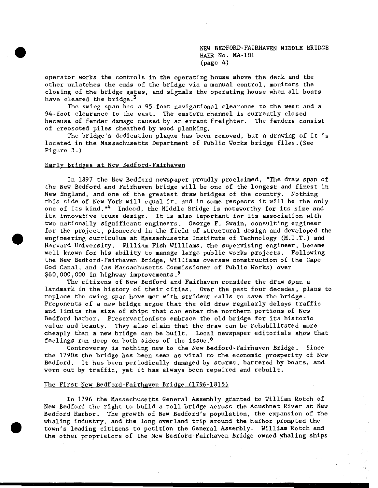NEW BEDFORD-FAIRHAVEN HIDDLE BRIDGE HAER No. MA-101 (page 4)

operator works the controls in the operating house above the deck and the other unlatches the ends of the bridge via a manual control, monitors the closing of the bridge gates, and signals the operating house when all boats have cleared the bridge.<sup>3</sup>

The swing span has a 95-foot navigational clearance to the west and a 94-foot clearance to the east. The eastern channel is currently closed because of fender damage caused by an errant freighter. The fenders consist of creosoted piles sheathed by wood planking.

The bridge's dedication plaque has been removed, but a drawing of it is located in the Massachusetts Department of Public Works bridge files.(See Figure 3.)

### Early Bridges at New Bedford-Fairhaven

In 1897 the New Bedford newspaper proudly proclaimed, "The draw span of the New Bedford and Fairhaven bridge will be one of the longest and finest in New England, and one of the greatest draw bridges of the country. Nothing this side of New York will equal it, and in some respects it will be the only one of its kind."<sup>4</sup> Indeed, the Middle Bridge is noteworthy for its size and its innovative truss design. It is also important for its association with two nationally significant engineers. George F. Swain, consulting engineer for the project, pioneered in the field of structural design and developed the engineering curriculum at Massachusetts Institute of Technology (M.I.T.) and Harvard University. William Fish Williams, the supervising engineer, became well known for his ability to manage large public works projects. Following the New Bedford-Fairhaven Bridge, Williams oversaw construction of the Cape Cod Canal, and (as Massachusetts Commissioner of Public Works) over \$60,000,000 in highway improvements.<sup>5</sup>

The citizens of New Bedford and Fairhaven consider the draw span a landmark in the history of their cities. Over the past four decades, plans to replace the swing span have met with strident calls to save the bridge. Proponents of a new bridge argue that the old draw regularly delays traffic and limits the size of ships that can enter the northern portions of New Bedford harbor. Preservationists embrace the old bridge for its historic value and beauty. They also claim that the draw can be rehabilitated more cheaply than a new bridge can be built. Local newspaper editorials show that feelings run deep on both sides of the issue.

Controversy is nothing new to the New Bedford-Fairhaven Bridge. Since the 1790s the bridge has been seen as vital to the economic prosperity of New Bedford. It has been periodically damaged by storms, battered by boats, and worn out by traffic, yet it has always been repaired and rebuilt.

### The First New Bedford-Fairhaven Bridge (1796-1815)

In 1796 the Massachusetts General Assembly granted to William Rotch of New Bedford the right to build a toll bridge across the Acushnet River at New Bedford Harbor. The growth of New Bedford's population, the expansion of the whaling industry, and the long overland trip around the harbor prompted the town's leading citizens to petition the General Assembly. William Rotch and the other proprietors of the New Bedford-Fairhaven Bridge owned whaling ships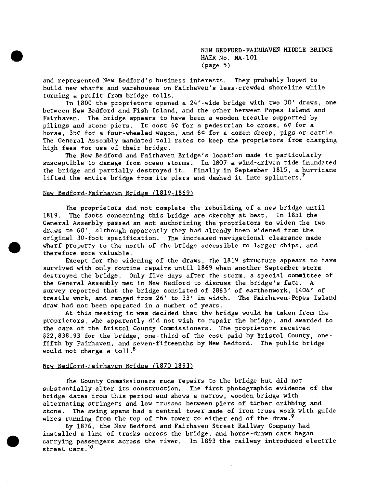NEW BEDFORD -FAIRHAVEN MIDDLE BRIDGE HAER No. MA-101 (page 5)

and represented New Bedford's business interests. They probably hoped to build new wharfs and warehouses on Fairhaven's less-crowded shoreline while turning a profit from bridge tolls.

In 1800 the proprietors opened a 24'-wide bridge with two 30' draws, one between New Bedford and Fish Island, and the other between Popes Island and Fairhaven. The bridge appears to have been a wooden trestle supported by pilings and stone piers. It cost 6¢ for a pedestrian to cross, 6¢ for a horse, 35¢ for a four-wheeled wagon, and 6¢ for a dozen sheep, pigs or cattle. The General Assembly mandated toll rates to keep the proprietors from charging high fees for use of their bridge.

The New Bedford and Fairhaven Bridge's location made it particularly susceptible to damage from ocean storms. In 1807 a wind-driven tide inundated the bridge and partially destroyed it. Finally in September 1815, a hurricane lifted the entire bridge from its piers and dashed it into splinters.<sup> $7$ </sup>

### New Bedford-Fairhaven Bridge (1819-1869)

The proprietors did not complete the rebuilding of a new bridge until 1819. The facts concerning this bridge are sketchy at best. In 1851 the General Assembly passed an act authorizing the proprietors to widen the two draws to 60', although apparently they had already been widened from the original 30-foot specification. The increased navigational clearance made wharf property to the north of the bridge accessible to larger ships, and therefore more valuable.

Except for the widening of the draws, the 1819 structure appears to have survived with only routine repairs until 1869 when another September storm destroyed the bridge. Only five days after the storm, a special committee of the General Assembly met in New Bedford to discuss the bridge's fate. A survey reported that the bridge consisted of 2863' of earthenwork, 1404' of trestle work, and ranged from 26' to 33' in width. The Fairhaven-Popes Island draw had not been operated in a number of years.

At this meeting it was decided that the bridge would be taken from the proprietors, who apparently did not wish to repair the bridge, and awarded to the care of the Bristol County Commissioners. The proprietors received \$22,838.93 for the bridge, one-third of the cost paid by Bristol County, onefifth by Fairhaven, and seven-fifteenths by New Bedford. The public bridge would not charge a toll. $^8$ 

### New Bedford-Fairhaven Bridge (1870-1893)

The County Commissioners made repairs to the bridge but did not substantially alter its construction. The first photographic evidence of the bridge dates from this period and shows a narrow, wooden bridge with alternating stringers and low trusses between piers of timber cribbing and stone. The swing spans had a central tower made of iron truss work with guide wires running from the top of the tower to either end of the draw.<sup>9</sup>

By 1876, the New Bedford and Fairhaven Street Railway Company had installed a line of tracks across the bridge, and horse-drawn cars began carrying passengers across the river. In 1893 the railway introduced electric street cars.<sup>10</sup>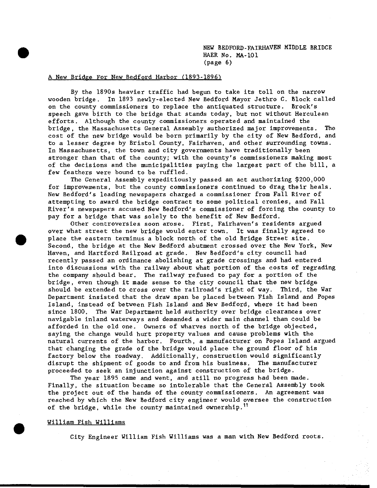NEW BEDFORD-FAIRHAVEN MIDDLE BRIDGE HAER No. MA-101 (page 6)

# A New Bridge For New Bedford Harbor (1893-1896)

By the 1890s heavier traffic had begun to take its toll on the narrow wooden bridge. In 1893 newly-elected New Bedford Mayor Jethro C. Block called on the county commissioners to replace the antiquated structure. Brock's speech gave birth to the bridge that stands today, but not without Herculean efforts. Although the county commissioners operated and maintained the bridge, the Massachusetts General Assembly authorized major improvements. The cost of the new bridge would be born primarily by the city of New Bedford, and to a lesser degree by Bristol County, Fairhaven, and other surrounding towns. In Massachusetts, the town and city governments have traditionally been stronger than that of the county; with the county's commissioners making most of the decisions and the municipalities paying the largest part of the bill, a few feathers were bound to be ruffled.

The General Assembly expeditiously passed an act authorizing \$200,000 for improvements, but the county commissioners continued to drag their heals. New Bedford's leading newspapers charged a commissioner from Fall River of attempting to award the bridge contract to some political cronies, and Fall River's newspapers accused New Bedford's commissioner of forcing the county to pay for a bridge that was solely to the benefit of New Bedford.

Other controversies soon arose. First, Fairhaven's residents argued over what street the new bridge would enter town. It was finally agreed to place the eastern terminus a block north of the old Bridge Street site. Second, the bridge at the New Bedford abutment crossed over the New York, New Haven, and Hartford Railroad at grade. New Bedford's city council had recently passed an ordinance abolishing at grade crossings and had entered into discussions with the railway about what portion of the costs of regrading the company should bear. The railway refused to pay for a portion of the bridge, even though it made sense to the city council that the new bridge should be extended to cross over the railroad's right of way. Third, the War Department insisted that the draw span be placed between Fish Island and Popes Island, instead of between Fish Island and New Bedford, where it had been since 1800. The War Department held authority over bridge clearances over navigable inland waterways and demanded a wider main channel than could be afforded in the old one. Owners of wharves north of the bridge objected, saying the change would hurt property values and cause problems with the natural currents of the harbor. Fourth, a manufacturer on Popes Island argued that changing the grade of the bridge would place the ground floor of his factory below the roadway. Additionally, construction would significantly disrupt the shipment of goods to and from his business. The manufacturer proceeded to seek an injunction against construction of the bridge.

The year 1895 came and went, and still no progress had been made. Finally, the situation became so intolerable that the General Assembly took the project out of the hands of the county commissioners. An agreement was reached by which the New Bedford city engineer would oversee the construction of the bridge, while the county maintained ownership.<sup>11</sup>

# William Fish Williams

City Engineer William Fish Williams was a man with New Bedford roots.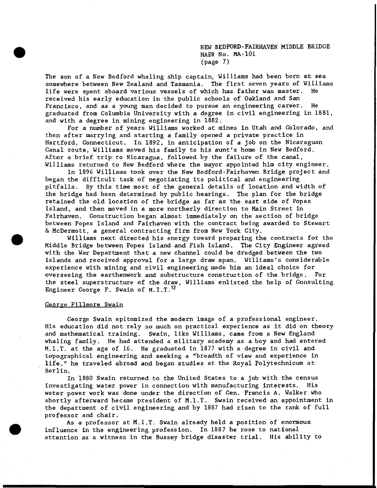NEW BEDFORD-FAIRHAVEN MIDDLE BRIDGE HAER No. MA-101 (page 7)

The son of a New Bedford whaling ship captain, Williams had been born at sea somewhere between New Zealand and Tasmania. The first seven years of Williams life were spent aboard various vessels of which has father was master. He received his early education in the public schools of Oakland and San Francisco, and as a young man decided to pursue an engineering career. He graduated from Columbia University with a degree in civil engineering in 1881, and with a degree in mining engineering in 1882.

For a number of years Williams worked at mines in Utah and Colorado, and then after marrying and starting a family opened a private practice in Hartford, Connecticut. In 1892, in anticipation of a job on the Nicaraguan Canal route, Williams moved his family to his aunt's home in New Bedford. After a brief trip to Nicaragua, followed by the failure of the canal, Williams returned to New Bedford where the mayor appointed him city engineer.

In 1896 Williams took over the New Bedford-Fairhaven Bridge project and began the difficult task of negotiating its political and engineering pitfalls. By this time most of the general details of location and width of the bridge had been determined by public hearings. The plan for the bridge retained the old location of the bridge as far as the east side of Popes Island, and then moved in a more northerly direction to Main Street in Fairhaven. Construction began almost immediately on the section of bridge between Popes Island and Fairhaven with the contract being awarded to Stewart & McDermott, a general contracting firm from New York City.

Williams next directed his energy toward preparing the contracts for the Middle Bridge between Popes Island and Fish Island. The City Engineer agreed with the War Department that a new channel could be dredged between the two islands and received approval for a large draw span. Williams's considerable experience with mining and civil engineering made him an ideal choice for overseeing the earthenwork and substructure construction of the bridge. For the steel superstructure of the draw, Williams enlisted the help of Consulting Engineer George F. Swain of M.I.T.<sup>12</sup>

#### George Fillmore Swain

George Swain epitomized the modern image of a professional engineer. His education did not rely so much on practical experience as it did on theory and mathematical training. Swain, like Williams, came from a New England whaling family. He had attended a military academy as a boy and had entered M.I.T. at the age of 16. He graduated in 1877 with a degree in civil and topographical engineering and seeking a "breadth of view and experience in life," he traveled abroad and began studies at the Royal Polytechnicum at Berlin.

In 1880 Swain returned to the United States to a job with the census investigating water power in connection with manufacturing interests. His water power work was done under the direction of Gen. Francis A. Walker who shortly afterward became president of M.I.T. Swain received an appointment in the department of civil engineering and by 1887 had risen to the rank of full professor and chair.

As a professor at M.I.T. Swain already held a position of enormous influence in the engineering profession. In 1887 he rose to national attention as a witness in the Bussey bridge disaster trial. His ability to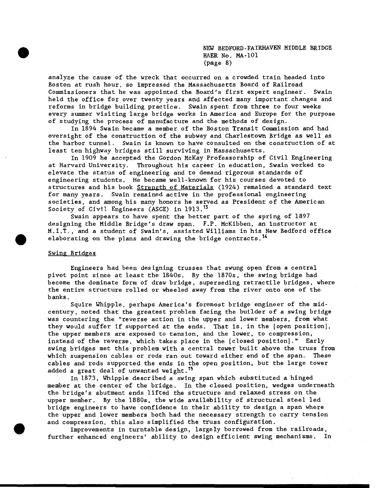NEW BEDFORD-FAIRHAVEN MIDDLE BRIDGE HAER No. MA-101 (page 8)

analyze the cause of the wreck that occurred on a crowded train headed into Boston at rush hour, so impressed the Massachusetts Board of Railroad Commissioners that he was appointed the Board's first expert engineer. Swain held the office for over twenty years and affected many important changes and reforms in bridge building practice. Swain spent from three to four weeks every summer visiting large bridge works in America and Europe for the purpose of studying the process of manufacture and the methods of design-

In 1894 Swain became a member of the Boston Transit Commission and had oversight of the construction of the subway and Charlestown Bridge as well as the harbor tunnel. Swain is known to have consulted on the construction of at least ten highway bridges still surviving in Massachusetts.

In 1909 he accepted the Gordon McKay Professorship of Civil Engineering at Harvard University. Throughout his career in education, Swain worked to elevate the status of engineering and to demand rigorous standards of engineering students. He became well-known for his courses devoted to structures and his book Strength of Materials (1924) remained a standard text for many years. Swain remained active in the professional engineering societies, and among his many honors he served as President of the American Society of Civil Engineers (ASCE) in 1913.<sup>13</sup>

Swain appears to have spent the better part of the spring of 1897 designing the Middle Bridge's draw span. F.P. McKibben, an instructor at M.I.T., and a student of Swain's, assisted Williams in his New Bedford office elaborating on the plans and drawing the bridge contracts.<sup>14</sup>

# Swing Bridges

Engineers had been designing trusses that swung open from a central pivot point since at least the 1840s. By the 1870s, the swing bridge had become the dominate form of draw bridge, superseding retractile bridges, where the entire structure rolled or wheeled away from the river onto one of the banks.

Squire Whipple, perhaps America's foremost bridge engineer of the midcentury, noted that the greatest problem facing the builder of a swing bridge was countering the "reverse action in the upper and lower members, from what they would suffer if supported at the ends. That is, in the [open position], the upper members are exposed to tension, and the lower, to compression, instead of the reverse, which takes place in the [closed position]." Early swing bridges met this problem with a central tower built above the truss from which suspension cables or rods ran out toward either end of the span. These cables and rods supported the ends in the open position, but the large tower added a great deal of unwanted weight.<sup>15</sup>

In 1873, Whipple described a swing span which substituted a hinged member at the center of the bridge. In the closed position, wedges underneath the bridge's abutment ends lifted the structure and relaxed stress on the upper member. By the 1880s, the wide availability of structural steel led bridge engineers to have confidence in their ability to design a span where the upper and lower members both had the necessary strength to carry tension and compression, this also simplified the truss configuration.

Improvements in turntable design, largely borrowed from the railroads, further enhanced engineers' ability to design efficient swing mechanisms. In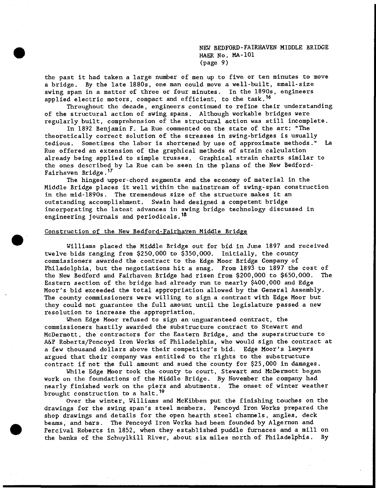NEW BEDFORD-FAIRHAVEN MIDDLE BRIDGE HAER No. MA-101 (page 9)

the past it had taken a large number of men up to five or ten minutes to move a bridge. By the late 1880s, one man could move a well-built, small-size swing span in a matter of three or four minutes. In the 1890s, engineers applied electric motors, compact and efficient, to the task.<sup>16</sup>

Throughout the decade, engineers continued to refine their understanding of the structural action of swing spans. Although workable bridges were regularly built, comprehension of the structural action was still incomplete.

In 1892 Benjamin F. La Rue commented on the state of the art: "The theoretically correct solution of the stresses In swing-bridges is usually tedious. Sometimes the labor is shortened by use of approximate methods." La Rue offered an extension of the graphical methods of strain calculation already being applied to simple trusses. Graphical strain charts similar to the ones described by La Rue can be seen in the plans of the New Bedford-Fairhaven Bridge.<sup>17</sup>

The hinged upper-chord segments and the economy of material in the Middle Bridge places it well within the mainstream of swing-span construction in the mid-1890s. The tremendous size of the structure makes it an outstanding accomplishment. Swain had designed a competent bridge incorporating the latest advances in swing bridge technology discussed In engineering journals and periodicals.<sup>18</sup>

# Construction of the New Bedford-Fairhaven Middle Bridge

Williams placed the Middle Bridge out for bid in June 1897 and received twelve bids ranging from \$250,000 to \$350,000. Initially, the county commissioners awarded the contract to the Edge Moor Bridge Company of Philadelphia, but the negotiations hit a snag. From 1893 to 1897 the cost of the New Bedford and Fairhaven Bridge had risen from \$200,000 to \$650,000. The Eastern section of the bridge had already run to nearly \$400,000 and Edge Moor's bid exceeded the total appropriation allowed by the General Assembly. The county commissioners were willing to sign a contract with Edge Moor but they could not guarantee the full amount until the legislature passed a new resolution to increase the appropriation.

When Edge Moor refused to sign an unguaranteed contract, the commissioners hastily awarded the substructure contract to Stewart and McDermott, the contractors for the Eastern Bridge, and the superstructure to A&P Roberts/Pencoyd Iron Works of Philadelphia, who would sign the contract at a few thousand dollars above their competitor's bid. Edge Moor's lawyers argued that their company was entitled to the rights to the substructure contract if not the full amount and sued the county for \$25,000 in damages.

While Edge Moor took the county to court, Stewart and McDermott began work on the foundations of the Middle Bridge. By November the company had nearly finished work on the piers and abutments. The onset of winter weather brought construction to a halt.<sup>19</sup>

Over the winter, Williams and McKibben put the finishing touches on the drawings for the swing span's steel members. Pencoyd Iron Works prepared the shop drawings and details for the open hearth steel channels, angles, deck beams, and bars. The Pencoyd Iron Works had been founded by Algernon and Percival Roberts in 1852, when they established puddle furnaces and a mill on the banks of the Schuylkill River, about six miles north of Philadelphia. By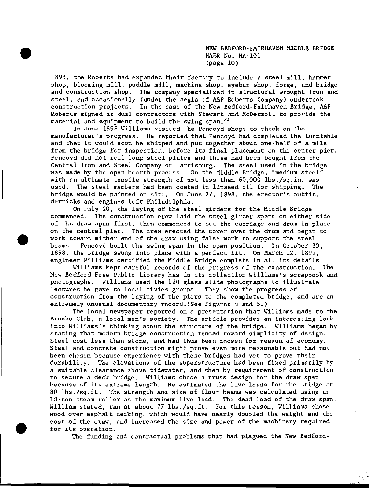NEW BEDFORD-FAIRHAVEN MIDDLE BRIDGE HAER No. MA-101 (page 10)

1893, the Roberts had expanded their factory to include a steel mill, hammer shop, blooming mill, puddle mill, machine shop, eyebar shop, forge, and bridge and construction shop. The company specialized in structural wrought iron and steel, and occasionally (under the aegis of A&P Roberts Company) undertook construction projects. In the case of the New Bedford-Fairhaven Bridge, A&P Roberts signed as dual contractors with Stewart and McDermott to provide the material and equipment to build the swing span.<sup>20</sup>

In June 1898 Williams visited the Pencoyd shops to check on the manufacturer's progress. He reported that Pencoyd had completed the turntable and that it would soon be shipped and put together about one-half of a mile from the bridge for inspection, before its final placement on the center pier. Pencoyd did not roll long steel plates and these had been bought from the Central Iron and Steel Company of Harrisburg. The steel used in the bridge was made by the open hearth process. On the Middle Bridge, "medium steel" with an ultimate tensile strength of not less than 60,000 lbs./sq.in. was used. The steel members had been coated in linseed oil for shipping. The bridge would be painted on site. On June 27, 1898, the erector's outfit, derricks and engines left Philadelphia.

On July 20, the laying of the steel girders for the Middle Bridge commenced. The construction crew laid the steel girder spans on either side of the draw span first, then commenced to set the carriage and drum in place on the central pier. The crew erected the tower over the drum and began to work toward either end of the draw using false work to support the steel beams. Pencoyd built the swing span in the open position. On October 30, 1898, the bridge swung into place with a perfect fit. On March 12, 1899, engineer Williams certified the Middle Bridge complete in all its details.

Williams kept careful records of the progress of the construction. The New Bedford Free Public Library has in its collection Williams's scrapbook and photographs. Williams used the 120 glass slide photographs to Illustrate lectures he gave to local civics groups. They show the progress of construction from the laying of the piers to the completed bridge, and are an extremely unusual documentary record.(See Figures 4 and 5.)

The local newspaper reported on a presentation that Williams made to the Brooks Club, a local men's society. The article provides an interesting look into Williams's thinking about the structure of the bridge. Williams began by stating that modern bridge construction tended toward simplicity of design. Steel cost less than stone, and had thus been chosen for reason of economy. Steel and concrete construction might prove even more reasonable but had not been chosen because experience with these bridges had yet to prove their durability. The elevations of the superstructure had been fixed primarily by a suitable clearance above tidewater, and then by requirement of construction to secure a deck bridge. Williams chose a truss design for the draw span because of its extreme length. He estimated the live loads for the bridge at 80 lbs./sq.ft. The strength and size of floor beams was calculated using an 18-ton steam roller as the maximum live load. The dead load of the draw span, William stated, ran at about 77 lbs./sq.ft. For this reason, Williams chose wood over asphalt decking, which would have nearly doubled the weight and the cost of the draw, and increased the size and power of the machinery required for its operation.

The funding and contractual problems that had plagued the New Bedford-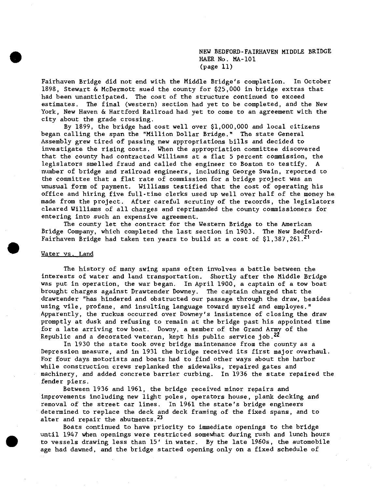NEW BEDFORD-FAIRHAVEN MIDDLE BRIDGE HAER No. MA-101 (page 11)

Fairhaven Bridge did not end with the Middle Bridge's completion. In October 1898, Stewart & McDermott sued the county for \$25,000 in bridge extras that had been unanticipated. The cost of the structure continued to exceed estimates. The final (western) section had yet to be completed, and the New York, New Haven & Hartford Railroad had yet to come to an agreement with the city about the grade crossing.

By 1899, the bridge had cost well over \$1,000,000 and local citizens began calling the span the "Million Dollar Bridge." The state General Assembly grew tired of passing new appropriations bills and decided to investigate the rising costs. When the appropriation committee discovered that the county had contracted Williams at a flat 5 percent commission, the legislators smelled fraud and called the engineer to Boston to testify. A number of bridge and railroad engineers, including George Swain, reported to the committee that a flat rate of commission for a bridge project was an unusual form of payment. Williams testified that the cost of operating his office and hiring five full-time clerks used up well over half of the money he made from the project. After careful scrutiny of the records, the legislators cleared Williams of all charges and reprimanded the county commissioners for entering into such an expensive agreement.

The county let the contract for the Western Bridge to the American Bridge Company, which completed the last section in 1903. The New Bedford-Fairhaven Bridge had taken ten years to build at a cost of  $$1,387,261.$ <sup>21</sup>

### Water vs. Land

The history of many swing spans often involves a battle between the interests of water and land transportation. Shortly after the Middle Bridge was put in operation, the war began. In April 1900, a captain of a tow boat brought charges against Drawtender Downey. The captain charged that the drawtender "has hindered and obstructed our passage through the draw, besides using vile, profane, and Insulting language toward myself and employes." Apparently, the ruckus occurred over Downey's insistence of closing the draw promptly at dusk and refusing to remain at the bridge past his appointed time for a late arriving tow boat. Downy, a member of the Grand Army of the Republic and a decorated veteran, kept his public service  $j$ ob.<sup>22</sup>

In 1930 the state took over bridge maintenance from the county as a Depression measure, and in 1931 the bridge received its first major overhaul. For four days motorists and boats had to find other ways about the harbor while construction crews replanked the sidewalks, repaired gates and machinery, and added concrete barrier curbing. In 1936 the state repaired the fender piers.

Between 1936 and 1961, the bridge received minor repairs and improvements including new light poles, operators house, plank decking and removal of the street car lines. In 1961 the state's bridge engineers determined to replace the deck and deck framing of the fixed spans, and to alter and repair the abutments.<sup>23</sup>

Boats continued to have priority to immediate openings to the bridge until 1947 when openings were restricted somewhat during rush and lunch hours to vessels drawing less than 15' in water. By the late 1960s, the automobile age had dawned, and the bridge started opening only on a fixed schedule of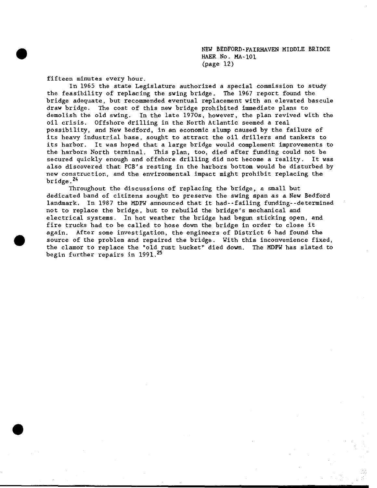NEW BEDFORD-FAIRHAVEN MIDDLE BRIDGE HAER No. MA-101 (page 12)

fifteen minutes every hour.

In 1965 the state Legislature authorized a special commission to study the feasibility of replacing the swing bridge. The 1967 report found the bridge adequate, but recommended eventual replacement with an elevated bascule draw bridge. The cost of this new bridge prohibited immediate plans to demolish the old swing. In the late 1970s, however, the plan revived with the oil crisis. Offshore drilling in the North Atlantic seemed a real possibility, and New Bedford, in an economic slump caused by the failure of its heavy industrial base, sought to attract the oil drillers and tankers to its harbor. It was hoped that a large bridge would complement improvements to the harbors North terminal. This plan, too, died after funding could not be secured quickly enough and offshore drilling did not become a reality. It was also discovered that PCB's resting in the harbors bottom would be disturbed by new construction, and the environmental impact might prohibit replacing the bridge.24

Throughout the discussions of replacing the bridge, a small but dedicated band of citizens sought to preserve the swing span as a New Bedford landmark. In 1987 the MDPW announced that it had--failing funding--determined not to replace the bridge, but to rebuild the bridge's mechanical and electrical systems. In hot weather the bridge had begun sticking open, and fire trucks had to be called to hose down the bridge in order to close it again. After some investigation, the engineers of District 6 had found the source of the problem and repaired the bridge. With this inconvenience fixed, the clamor to replace the "old rust bucket" died down. The MDPW has slated to begin further repairs in 1991.<sup>25</sup>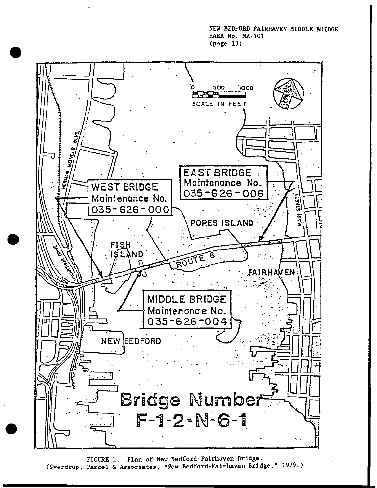NEW BEDFORD-FAIRHAVEN MIDDLE BRIDGE HAER No. MA-101 (page 13)



FIGURE 1: Plan of New Bedford-Falrhaven Bridge. (Sverdrup, Parcel & Associates, "New Bedford-Fairhavan Bridge," 1979.)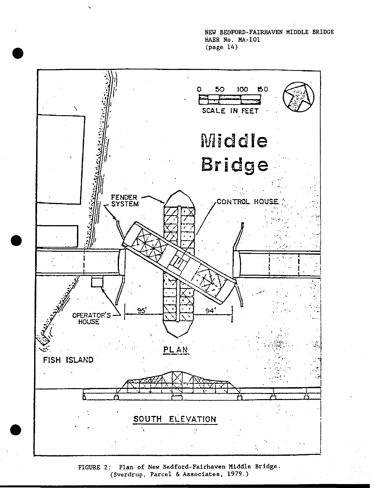NEW BEDFORD-FAIRHAVEN MIDDLE BRIDGE HAER No. MA-101 (page 14)



FIGURE 2: Plan of New Bedford-Fairhaven Middle Bridge. (Sverdrup, Parcel & Associates, 1979.)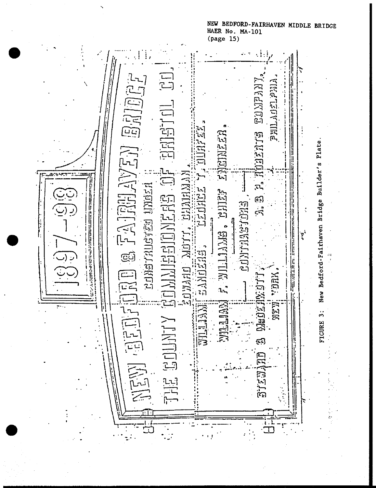NEW BEDFORD-FAIRHAVEN MIDDLE BRIDGE HAER No. MA-101 (page 15)

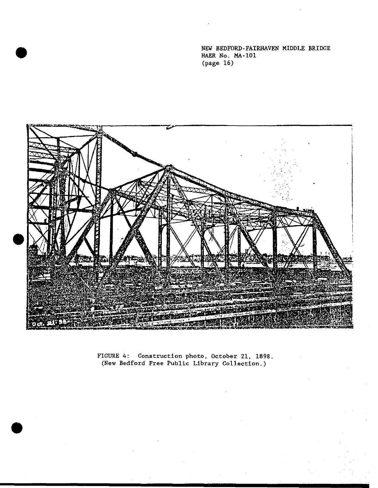NEW BEDFORD-FAIRHAVEN MIDDLE BRIDGE HAER No. MA-101 (page 16)



FIGURE 4: Construction photo, October 21, 1898. (New Bedford Free Public Library Collection.)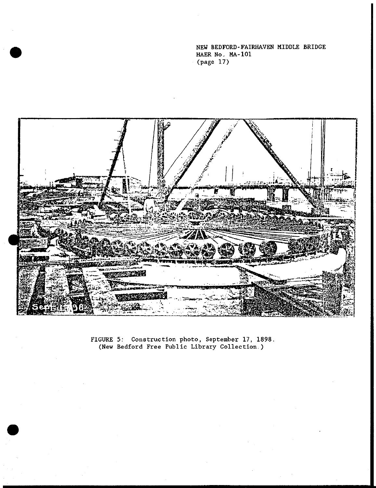NEW BEDFORD -FAIRHAVEN MIDDLE BRIDGE HAER No. MA-101 (page 17)



FIGURE 5: Construction photo, September 17, 1898 (New Bedford Free Public Library Collection.)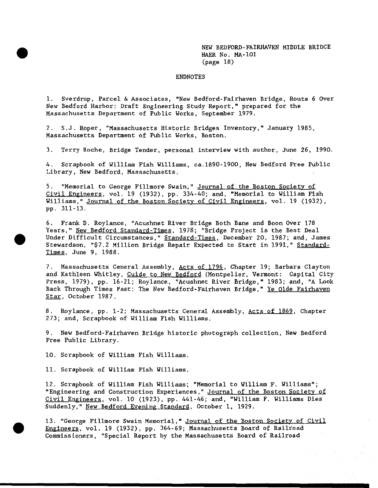NEW BEDFORD-FAIRHAVEN MIDDLE BRIDGE HAER No. MA-101 (page 18)

### ENDNOTES

1. Sverdrup, Parcel & Associates, "New Bedford-Fairhaven Bridge, Route 6 Over New Bedford Harbor: Draft Engineering Study Report," prepared for the Massachusetts Department of Public Works, September 1979.

2. S.J. Roper, "Massachusetts Historic Bridges Inventory," January 1985, Massachusetts Department of Public Works, Boston.

3. Terry Roche, Bridge Tender, personal interview with author, June 26, 1990.

4. Scrapbook of William Fish Williams, ca.1890-1900, New Bedford Free Public Library, New Bedford, Massachusetts.

5. "Memorial to George Fillmore Swain," Journal of the Boston Society of Civil Engineers, vol. 19 (1932), pp. 334-40; and, "Memorial to William Fish Williams," Journal of the Boston Society of Civil Engineers, vol. 19 (1932), pp. 311-13.

6. Frank D. Roylance, "Acushnet River Bridge Both Bane and Boon Over 178 Years," New Bedford Standard-Times, 1978; "Bridge Project is the Best Deal Under Difficult Circumstances," Standard-Times, December 20, 1987; and, James Stewardson, "\$7.2 Million Bridge Repair Expected to Start in 1991," Standard-Times. June 9, 1988.

7. Massachusetts Ceneral Assembly, Acts of 1796, Chapter 19; Barbara Clayton and Kathleen Whitley, Cuide to New Bedford (Montpelier, Vermont: Capital City Press, 1979), pp. 16-21; Roylance, "Acushnet River Bridge," 1983; and, "A Look Back Through Times Past: The New Bedford-Fairhaven Bridge," Ye Olde Fairhaven Star. October 1987.

8. Roylance, pp. 1-2; Massachusetts Ceneral Assembly, Acts of 1869, Chapter 273; and, Scrapbook of William Fish Williams.

9. New Bedford-Fairhaven Bridge historic photograph collection, New Bedford Free Public Library.

10. Scrapbook of William Fish Williams.

11. Scrapbook of William Fish Williams.

12. Scrapbook of William Fish Williams; "Memorial to William F. Williams"; "Engineering and Construction Experiences," Journal of the Boston Society of Civil Engineers, vol. 10 (1923), pp. 441-46; and, "William F. Williams Dies Suddenly," New Bedford Evening Standard. October 1, 1929.

13. "George Fillmore Swain Memorial," Journal of the Boston Society of Civil Engineers, vol. 19 (1932), pp. 364-69; Massachusetts Board of Railroad Commissioners, "Special Report by the Massachusetts Board of Railroad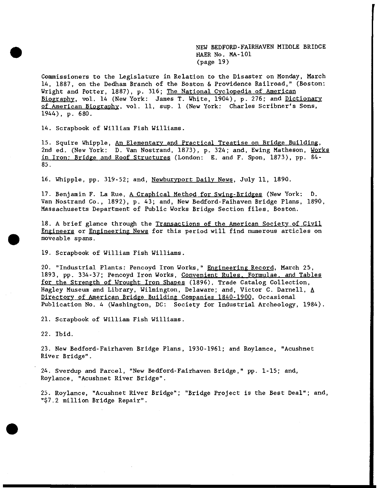NEW BEDFORD-FAIRHAVEN MIDDLE BRIDGE HAER No. MA-101 (page 19)

Commissioners to the Legislature in Relation to the Disaster on Monday, March 14, 1887, on the Dedham Branch of the Boston & Providence Railroad," (Boston: Wright and Potter, 1887), p. 316; The National Cyclopedia of American Biography, vol. 14 (New York: James T. White, 1904), p. 276; and Dictionary of American Biography, vol. 11, sup. 1 (New York: Charles Scribner's Sons, 1944), p. 680.

14. Scrapbook of William Fish Williams.

15. Squire Whipple, An Elementary and Practical Treatise on Bridge Building. 2nd ed. (New York: D. Van Nostrand, 1873), p. 324; and, Ewing Matheson, Works in Iron: Bridge and Roof Structures (London: E. and F. Spon, 1873), pp. 84- 85.

16. Whipple, pp. 319-52; and, Newburyport Daily News. July 11, 1890.

17. Benjamin F. La Rue, <u>A Craphical Method for Swing-Bridges</u> (New York: D. Van Nostrand Co., 1892), p. 43; and, New Bedford-Faihaven Bridge Plans, 1890, Massachusetts Department of Public Works Bridge Section files, Boston.

18. A brief glance through the Transactions of the American Society of Civil Engineers or Engineering News for this period will find numerous articles on moveable spans.

19. Scrapbook of William Fish Williams.

20. "Industrial Plants: Pencoyd Iron Works," Engineering Record. March 25, 1893, pp. 334-37; Pencoyd Iron Works, Convenient Rules. Formulae, and Tables for the Strength of Wrought Iron Shapes (1896), Trade Catalog Collection, Hagley Museum and Library, Wilmington, Delaware; and, Victor C. Darnell, A Directory of American Bridge Building Companies 1840-190Q. Occasional Publication No. 4 (Washington, DC: Society for Industrial Archeology, 1984).

21. Scrapbook of William Fish Williams.

22. Ibid.

23. New Bedford-Fairhaven Bridge Plans, 1930-1961; and Roylance, "Acushnet River Bridge".

24. Sverdup and Parcel, "New Bedford-Fairhaven Bridge," pp. 1-15; and, Roylance, "Acushnet River Bridge".

25. Roylance, "Acushnet River Bridge"; "Bridge Project is the Best Deal"; and, "\$7.2 million Bridge Repair".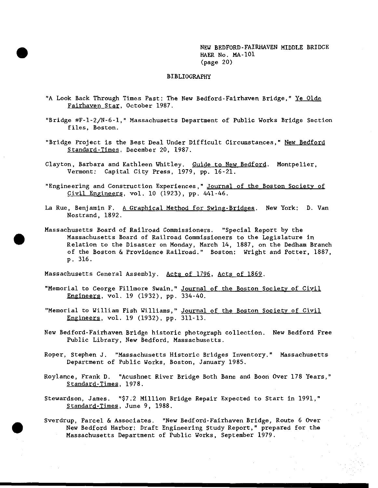NEW BEDFORD-FAIRHAVEN MIDDLE BRIDGE HAER No. MA-101 (page 20)

# BIBLIOGRAPHY

- "A Look Back Through Times Past: The New Bedford-Fairhaven Bridge," Ye Olde Fairhaven Star. October 1987.
- "Bridge #F-l-2/N-6-l," Massachusetts Department of Public Works Bridge Section files, Boston.
- "Bridge Project is the Best Deal Under Difficult Circumstances," New Bedford Standard-Times. December 20, 1987.
- Clayton, Barbara and Kathleen Whitley. Guide to New Bedford. Montpelier, Vermont: Capital City Press, 1979, pp. 16-21.
- "Engineering and Construction Experiences," Journal of the Boston Society of Civil Engineers, vol. 10 (1923), pp. 441-46.
- La Rue, Benjamin F. A Graphical Method for Swing-Bridges. New York: D. Van Nostrand, 1892.
- Massachusetts Board of Railroad Commissioners. "Special Report by the Massachusetts Board of Railroad Commissioners to the Legislature in Relation to the Disaster on Monday, March 14, 1887, on the Dedham Branch of the Boston & Providence Railroad." Boston: Wright and Potter, 1887, p. 316.

Massachusetts Ceneral Assembly. Acts of 1796, Acts of 1869.

- "Memorial to George Fillmore Swain," Journal of the Boston Society of Civil Engineers, vol. 19 (1932), pp. 334-40.
- "Memorial to William Fish Williams," Journal of the Boston Society of Civil Engineers. vol. 19 (1932), pp. 311-13.
- New Bedford-Fairhaven Bridge historic photograph collection. New Bedford Free Public Library, New Bedford, Massachusetts.
- Roper, Stephen J. "Massachusetts Historic Bridges Inventory." Massachusetts Department of Public Works, Boston, January 1985.
- Roylance, Frank D. "Acushnet River Bridge Both Bane and Boon Over 178 Years," Standard-Times. 1978.

Stewardson, James. "\$7.2 Million Bridge Repair Expected to Start in 1991," Standard-Times. June 9, 1988.

Sverdrup, Parcel & Associates. "New Bedford-Fairhaven Bridge, Route 6 Over New Bedford Harbor: Draft Engineering Study Report," prepared for the Massachusetts Department of Public Works, September 1979.